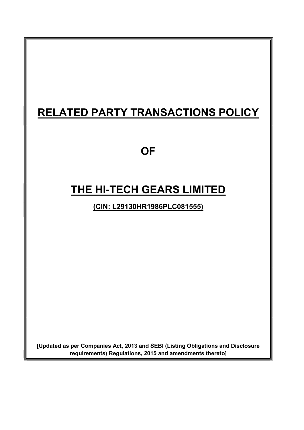# RELATED PARTY TRANSACTIONS POLICY

### **OF**

## THE HI-TECH GEARS LIMITED

(CIN: L29130HR1986PLC081555)

[Updated as per Companies Act, 2013 and SEBI (Listing Obligations and Disclosure requirements) Regulations, 2015 and amendments thereto]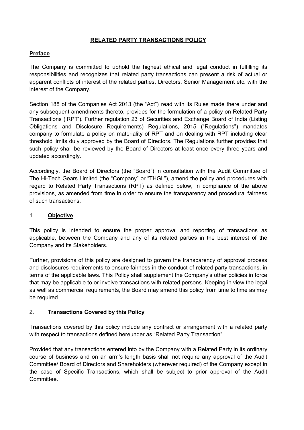#### RELATED PARTY TRANSACTIONS POLICY

#### Preface

The Company is committed to uphold the highest ethical and legal conduct in fulfilling its responsibilities and recognizes that related party transactions can present a risk of actual or apparent conflicts of interest of the related parties, Directors, Senior Management etc. with the interest of the Company.

Section 188 of the Companies Act 2013 (the "Act") read with its Rules made there under and any subsequent amendments thereto, provides for the formulation of a policy on Related Party Transactions ('RPT'). Further regulation 23 of Securities and Exchange Board of India (Listing Obligations and Disclosure Requirements) Regulations, 2015 ("Regulations") mandates company to formulate a policy on materiality of RPT and on dealing with RPT including clear threshold limits duly approved by the Board of Directors. The Regulations further provides that such policy shall be reviewed by the Board of Directors at least once every three years and updated accordingly.

Accordingly, the Board of Directors (the "Board") in consultation with the Audit Committee of The Hi-Tech Gears Limited (the "Company" or "THGL"), amend the policy and procedures with regard to Related Party Transactions (RPT) as defined below, in compliance of the above provisions, as amended from time in order to ensure the transparency and procedural fairness of such transactions.

#### 1. Objective

This policy is intended to ensure the proper approval and reporting of transactions as applicable, between the Company and any of its related parties in the best interest of the Company and its Stakeholders.

Further, provisions of this policy are designed to govern the transparency of approval process and disclosures requirements to ensure fairness in the conduct of related party transactions, in terms of the applicable laws. This Policy shall supplement the Company's other policies in force that may be applicable to or involve transactions with related persons. Keeping in view the legal as well as commercial requirements, the Board may amend this policy from time to time as may be required.

#### 2. Transactions Covered by this Policy

Transactions covered by this policy include any contract or arrangement with a related party with respect to transactions defined hereunder as "Related Party Transaction".

Provided that any transactions entered into by the Company with a Related Party in its ordinary course of business and on an arm's length basis shall not require any approval of the Audit Committee/ Board of Directors and Shareholders (wherever required) of the Company except in the case of Specific Transactions, which shall be subject to prior approval of the Audit **Committee.**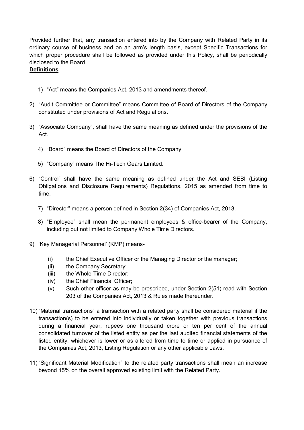Provided further that, any transaction entered into by the Company with Related Party in its ordinary course of business and on an arm's length basis, except Specific Transactions for which proper procedure shall be followed as provided under this Policy, shall be periodically disclosed to the Board.

#### Definitions

- 1) "Act" means the Companies Act, 2013 and amendments thereof.
- 2) "Audit Committee or Committee" means Committee of Board of Directors of the Company constituted under provisions of Act and Regulations.
- 3) "Associate Company", shall have the same meaning as defined under the provisions of the Act.
	- 4) "Board" means the Board of Directors of the Company.
	- 5) "Company" means The Hi-Tech Gears Limited.
- 6) "Control" shall have the same meaning as defined under the Act and SEBI (Listing Obligations and Disclosure Requirements) Regulations, 2015 as amended from time to time.
	- 7) "Director" means a person defined in Section 2(34) of Companies Act, 2013.
	- 8) "Employee" shall mean the permanent employees & office-bearer of the Company, including but not limited to Company Whole Time Directors.
- 9) 'Key Managerial Personnel' (KMP) means-
	- (i) the Chief Executive Officer or the Managing Director or the manager;
	- (ii) the Company Secretary;
	- (iii) the Whole-Time Director;
	- (iv) the Chief Financial Officer;
	- (v) Such other officer as may be prescribed, under Section 2(51) read with Section 203 of the Companies Act, 2013 & Rules made thereunder.
- 10) "Material transactions" a transaction with a related party shall be considered material if the transaction(s) to be entered into individually or taken together with previous transactions during a financial year, rupees one thousand crore or ten per cent of the annual consolidated turnover of the listed entity as per the last audited financial statements of the listed entity, whichever is lower or as altered from time to time or applied in pursuance of the Companies Act, 2013, Listing Regulation or any other applicable Laws.
- 11) "Significant Material Modification" to the related party transactions shall mean an increase beyond 15% on the overall approved existing limit with the Related Party.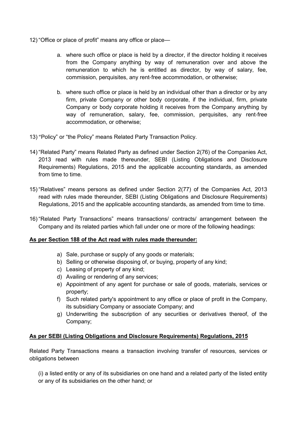- 12) "Office or place of profit" means any office or place
	- a. where such office or place is held by a director, if the director holding it receives from the Company anything by way of remuneration over and above the remuneration to which he is entitled as director, by way of salary, fee, commission, perquisites, any rent‐free accommodation, or otherwise;
	- b. where such office or place is held by an individual other than a director or by any firm, private Company or other body corporate, if the individual, firm, private Company or body corporate holding it receives from the Company anything by way of remuneration, salary, fee, commission, perquisites, any rent-free accommodation, or otherwise;
- 13) "Policy" or "the Policy" means Related Party Transaction Policy.
- 14) "Related Party" means Related Party as defined under Section 2(76) of the Companies Act, 2013 read with rules made thereunder, SEBI (Listing Obligations and Disclosure Requirements) Regulations, 2015 and the applicable accounting standards, as amended from time to time.
- 15) "Relatives" means persons as defined under Section 2(77) of the Companies Act, 2013 read with rules made thereunder, SEBI (Listing Obligations and Disclosure Requirements) Regulations, 2015 and the applicable accounting standards, as amended from time to time.
- 16) "Related Party Transactions" means transactions/ contracts/ arrangement between the Company and its related parties which fall under one or more of the following headings:

#### As per Section 188 of the Act read with rules made thereunder:

- a) Sale, purchase or supply of any goods or materials;
- b) Selling or otherwise disposing of, or buying, property of any kind;
- c) Leasing of property of any kind;
- d) Availing or rendering of any services;
- e) Appointment of any agent for purchase or sale of goods, materials, services or property;
- f) Such related party's appointment to any office or place of profit in the Company, its subsidiary Company or associate Company; and
- g) Underwriting the subscription of any securities or derivatives thereof, of the Company;

#### As per SEBI (Listing Obligations and Disclosure Requirements) Regulations, 2015

Related Party Transactions means a transaction involving transfer of resources, services or obligations between

(i) a listed entity or any of its subsidiaries on one hand and a related party of the listed entity or any of its subsidiaries on the other hand; or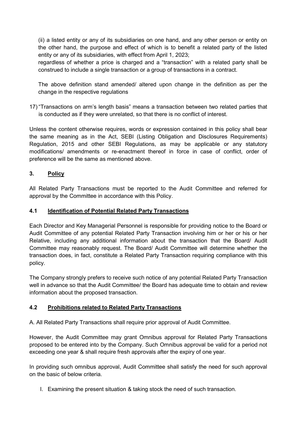(ii) a listed entity or any of its subsidiaries on one hand, and any other person or entity on the other hand, the purpose and effect of which is to benefit a related party of the listed entity or any of its subsidiaries, with effect from April 1, 2023;

regardless of whether a price is charged and a "transaction" with a related party shall be construed to include a single transaction or a group of transactions in a contract.

The above definition stand amended/ altered upon change in the definition as per the change in the respective regulations

17) "Transactions on arm's length basis" means a transaction between two related parties that is conducted as if they were unrelated, so that there is no conflict of interest.

Unless the content otherwise requires, words or expression contained in this policy shall bear the same meaning as in the Act, SEBI (Listing Obligation and Disclosures Requirements) Regulation, 2015 and other SEBI Regulations, as may be applicable or any statutory modifications/ amendments or re-enactment thereof in force in case of conflict, order of preference will be the same as mentioned above.

#### 3. Policy

All Related Party Transactions must be reported to the Audit Committee and referred for approval by the Committee in accordance with this Policy.

#### 4.1 Identification of Potential Related Party Transactions

Each Director and Key Managerial Personnel is responsible for providing notice to the Board or Audit Committee of any potential Related Party Transaction involving him or her or his or her Relative, including any additional information about the transaction that the Board/ Audit Committee may reasonably request. The Board/ Audit Committee will determine whether the transaction does, in fact, constitute a Related Party Transaction requiring compliance with this policy.

The Company strongly prefers to receive such notice of any potential Related Party Transaction well in advance so that the Audit Committee/ the Board has adequate time to obtain and review information about the proposed transaction.

#### 4.2 Prohibitions related to Related Party Transactions

A. All Related Party Transactions shall require prior approval of Audit Committee.

However, the Audit Committee may grant Omnibus approval for Related Party Transactions proposed to be entered into by the Company. Such Omnibus approval be valid for a period not exceeding one year & shall require fresh approvals after the expiry of one year.

In providing such omnibus approval, Audit Committee shall satisfy the need for such approval on the basic of below criteria.

I. Examining the present situation & taking stock the need of such transaction.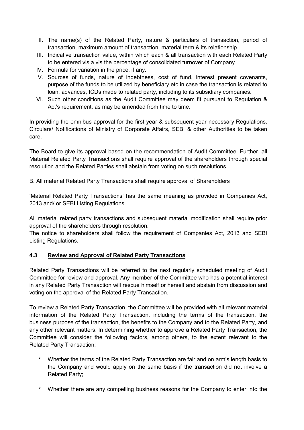- II. The name(s) of the Related Party, nature & particulars of transaction, period of transaction, maximum amount of transaction, material term & its relationship.
- III. Indicative transaction value, within which each & all transaction with each Related Party to be entered vis a vis the percentage of consolidated turnover of Company.
- IV. Formula for variation in the price, if any.
- V. Sources of funds, nature of indebtness, cost of fund, interest present covenants, purpose of the funds to be utilized by beneficiary etc in case the transaction is related to loan, advances, ICDs made to related party, including to its subsidiary companies.
- VI. Such other conditions as the Audit Committee may deem fit pursuant to Regulation & Act's requirement, as may be amended from time to time.

In providing the omnibus approval for the first year & subsequent year necessary Regulations, Circulars/ Notifications of Ministry of Corporate Affairs, SEBI & other Authorities to be taken care.

The Board to give its approval based on the recommendation of Audit Committee. Further, all Material Related Party Transactions shall require approval of the shareholders through special resolution and the Related Parties shall abstain from voting on such resolutions.

B. All material Related Party Transactions shall require approval of Shareholders

'Material Related Party Transactions' has the same meaning as provided in Companies Act, 2013 and/ or SEBI Listing Regulations.

All material related party transactions and subsequent material modification shall require prior approval of the shareholders through resolution.

The notice to shareholders shall follow the requirement of Companies Act, 2013 and SEBI Listing Regulations.

#### 4.3 Review and Approval of Related Party Transactions

Related Party Transactions will be referred to the next regularly scheduled meeting of Audit Committee for review and approval. Any member of the Committee who has a potential interest in any Related Party Transaction will rescue himself or herself and abstain from discussion and voting on the approval of the Related Party Transaction.

To review a Related Party Transaction, the Committee will be provided with all relevant material information of the Related Party Transaction, including the terms of the transaction, the business purpose of the transaction, the benefits to the Company and to the Related Party, and any other relevant matters. In determining whether to approve a Related Party Transaction, the Committee will consider the following factors, among others, to the extent relevant to the Related Party Transaction:

- $\overline{P}$  Whether the terms of the Related Party Transaction are fair and on arm's length basis to the Company and would apply on the same basis if the transaction did not involve a Related Party;
- $\blacktriangleright$ Whether there are any compelling business reasons for the Company to enter into the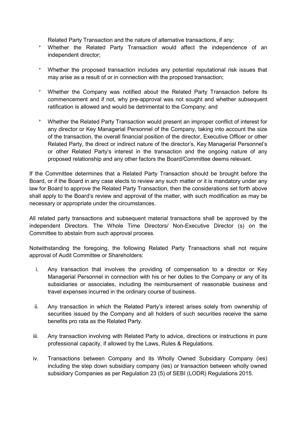Related Party Transaction and the nature of alternative transactions, if any;

- $\blacktriangleright$  Whether the Related Party Transaction would affect the independence of an independent director;
- $\blacktriangleright$  Whether the proposed transaction includes any potential reputational risk issues that may arise as a result of or in connection with the proposed transaction;
- $\blacktriangleright$  Whether the Company was notified about the Related Party Transaction before its commencement and if not, why pre-approval was not sought and whether subsequent ratification is allowed and would be detrimental to the Company; and
- $\overline{P}$  Whether the Related Party Transaction would present an improper conflict of interest for any director or Key Managerial Personnel of the Company, taking into account the size of the transaction, the overall financial position of the director, Executive Officer or other Related Party, the direct or indirect nature of the director's, Key Managerial Personnel's or other Related Party's interest in the transaction and the ongoing nature of any proposed relationship and any other factors the Board/Committee deems relevant.

If the Committee determines that a Related Party Transaction should be brought before the Board, or if the Board in any case elects to review any such matter or it is mandatory under any law for Board to approve the Related Party Transaction, then the considerations set forth above shall apply to the Board's review and approval of the matter, with such modification as may be necessary or appropriate under the circumstances.

All related party transactions and subsequent material transactions shall be approved by the independent Directors. The Whole Time Directors/ Non-Executive Director (s) on the Committee to abstain from such approval process.

Notwithstanding the foregoing, the following Related Party Transactions shall not require approval of Audit Committee or Shareholders:

- i. Any transaction that involves the providing of compensation to a director or Key Managerial Personnel in connection with his or her duties to the Company or any of its subsidiaries or associates, including the reimbursement of reasonable business and travel expenses incurred in the ordinary course of business.
- ii. Any transaction in which the Related Party's interest arises solely from ownership of securities issued by the Company and all holders of such securities receive the same benefits pro rata as the Related Party.
- iii. Any transaction involving with Related Party to advice, directions or instructions in pure professional capacity, if allowed by the Laws, Rules & Regulations.
- iv. Transactions between Company and its Wholly Owned Subsidiary Company (ies) including the step down subsidiary company (ies) or transaction between wholly owned subsidiary Companies as per Regulation 23 (5) of SEBI (LODR) Regulations 2015.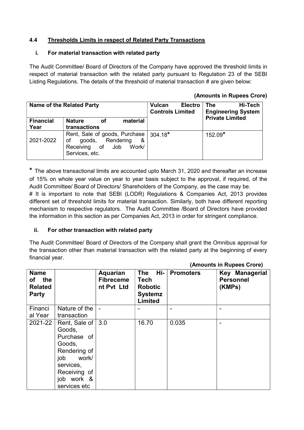#### 4.4 Thresholds Limits in respect of Related Party Transactions

#### i. For material transaction with related party

The Audit Committee/ Board of Directors of the Company have approved the threshold limits in respect of material transaction with the related party pursuant to Regulation 23 of the SEBI Listing Regulations. The details of the threshold of material transaction # are given below:

#### (Amounts in Rupees Crore)

|                          | Name of the Related Party                                                                                   | <b>Vulcan</b><br><b>Electro</b><br><b>Controls Limited</b> | <b>The</b><br>Hi-Tech<br><b>Engineering System</b><br><b>Private Limited</b> |
|--------------------------|-------------------------------------------------------------------------------------------------------------|------------------------------------------------------------|------------------------------------------------------------------------------|
| <b>Financial</b><br>Year | material<br><b>Nature</b><br>οf<br>transactions                                                             |                                                            |                                                                              |
| 2021-2022                | Rent, Sale of goods, Purchase<br>goods, Rendering<br>of<br>&<br>Receiving of Job<br>Work/<br>Services, etc. | $304.18*$                                                  | 152.09*                                                                      |

\* The above transactional limits are accounted upto March 31, 2020 and thereafter an increase of 15% on whole year value on year to year basis subject to the approval, if required, of the Audit Committee/ Board of Directors/ Shareholders of the Company, as the case may be.

# It is important to note that SEBI (LODR) Regulations & Companies Act, 2013 provides different set of threshold limits for material transaction. Similarly, both have different reporting mechanism to respective regulators. The Audit Committee /Board of Directors have provided the information in this section as per Companies Act, 2013 in order for stringent compliance.

#### ii. For other transaction with related party

The Audit Committee/ Board of Directors of the Company shall grant the Omnibus approval for the transaction other than material transaction with the related party at the beginning of every financial year.

| <b>Name</b><br>of the<br><b>Related</b><br><b>Party</b> |                                                                                                                                                             | Aquarian<br><b>Fibreceme</b><br>nt Pvt Ltd | Hi-<br>The<br><b>Tech</b><br><b>Robotic</b><br><b>Systemz</b><br>Limited | <b>Promoters</b> | Key Managerial<br><b>Personnel</b><br>(KMPs) |
|---------------------------------------------------------|-------------------------------------------------------------------------------------------------------------------------------------------------------------|--------------------------------------------|--------------------------------------------------------------------------|------------------|----------------------------------------------|
| Financi<br>al Year                                      | Nature of the<br>transaction                                                                                                                                | $\overline{\phantom{0}}$                   |                                                                          |                  |                                              |
|                                                         | 2021-22   Rent, Sale of   3.0<br>Goods,<br>Purchase of<br>Goods,<br>Rendering of<br>work/<br>job<br>services,<br>Receiving of<br>job work &<br>services etc |                                            | 16.70                                                                    | 0.035            |                                              |

#### (Amounts in Rupees Crore)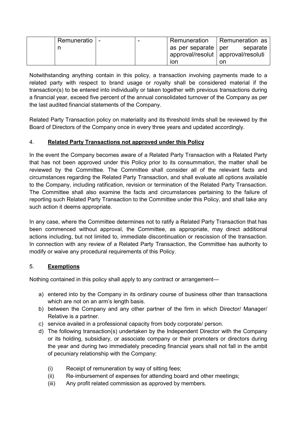| Remuneratio | $\overline{\phantom{0}}$ | ' Remuneration          | Remuneration as                      |
|-------------|--------------------------|-------------------------|--------------------------------------|
|             |                          | l as per separate   per | separate                             |
|             |                          |                         | approval/resolut   approval/resoluti |
|             |                          | lon                     | on                                   |

Notwithstanding anything contain in this policy, a transaction involving payments made to a related party with respect to brand usage or royalty shall be considered material if the transaction(s) to be entered into individually or taken together with previous transactions during a financial year, exceed five percent of the annual consolidated turnover of the Company as per the last audited financial statements of the Company.

Related Party Transaction policy on materiality and its threshold limits shall be reviewed by the Board of Directors of the Company once in every three years and updated accordingly.

#### 4. Related Party Transactions not approved under this Policy

In the event the Company becomes aware of a Related Party Transaction with a Related Party that has not been approved under this Policy prior to its consummation, the matter shall be reviewed by the Committee. The Committee shall consider all of the relevant facts and circumstances regarding the Related Party Transaction, and shall evaluate all options available to the Company, including ratification, revision or termination of the Related Party Transaction. The Committee shall also examine the facts and circumstances pertaining to the failure of reporting such Related Party Transaction to the Committee under this Policy, and shall take any such action it deems appropriate.

In any case, where the Committee determines not to ratify a Related Party Transaction that has been commenced without approval, the Committee, as appropriate, may direct additional actions including, but not limited to, immediate discontinuation or rescission of the transaction. In connection with any review of a Related Party Transaction, the Committee has authority to modify or waive any procedural requirements of this Policy.

#### 5. Exemptions

Nothing contained in this policy shall apply to any contract or arrangement—

- a) entered into by the Company in its ordinary course of business other than transactions which are not on an arm's length basis.
- b) between the Company and any other partner of the firm in which Director/ Manager/ Relative is a partner.
- c) service availed in a professional capacity from body corporate/ person.
- d) The following transaction(s) undertaken by the Independent Director with the Company or its holding, subsidiary, or associate company or their promoters or directors during the year and during two immediately preceding financial years shall not fall in the ambit of pecuniary relationship with the Company:
	- (i) Receipt of remuneration by way of sitting fees;
	- (ii) Re‐imbursement of expenses for attending board and other meetings;
	- (iii) Any profit related commission as approved by members.